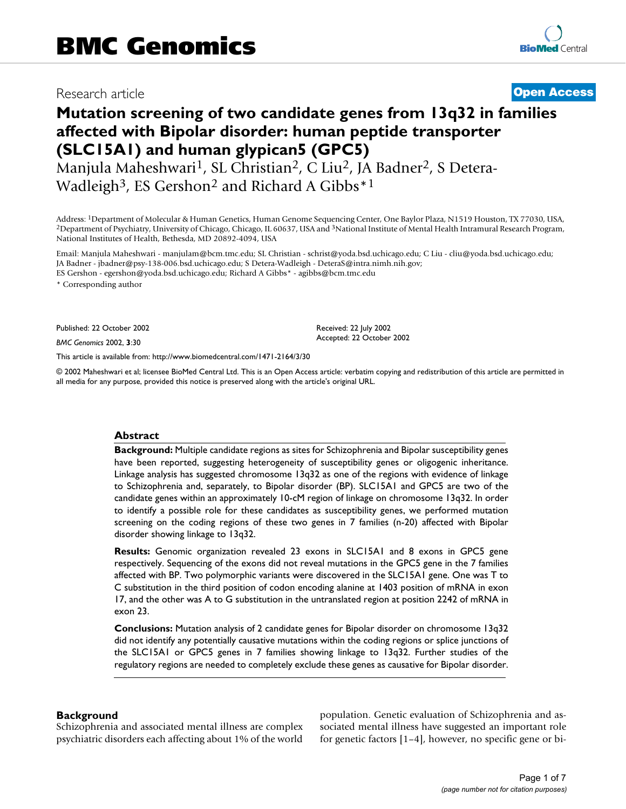# Research article **[Open Access](http://www.biomedcentral.com/info/about/charter/)**

# **Mutation screening of two candidate genes from 13q32 in families affected with Bipolar disorder: human peptide transporter (SLC15A1) and human glypican5 (GPC5)**

Manjula Maheshwari<sup>1</sup>, SL Christian<sup>2</sup>, C Liu<sup>2</sup>, JA Badner<sup>2</sup>, S Detera-Wadleigh<sup>3</sup>, ES Gershon<sup>2</sup> and Richard A Gibbs<sup>\*1</sup>

Address: <sup>1</sup>Department of Molecular & Human Genetics, Human Genome Sequencing Center, One Baylor Plaza, N1519 Houston, TX 77030, USA, <sup>2</sup>Department of Psychiatry, University of Chicago, Chicago, IL 60637, USA and <sup>3</sup>Nation National Institutes of Health, Bethesda, MD 20892-4094, USA

Email: Manjula Maheshwari - manjulam@bcm.tmc.edu; SL Christian - schrist@yoda.bsd.uchicago.edu; C Liu - cliu@yoda.bsd.uchicago.edu; JA Badner - jbadner@psy-138-006.bsd.uchicago.edu; S Detera-Wadleigh - DeteraS@intra.nimh.nih.gov; ES Gershon - egershon@yoda.bsd.uchicago.edu; Richard A Gibbs\* - agibbs@bcm.tmc.edu

\* Corresponding author

Published: 22 October 2002

*BMC Genomics* 2002, **3**:30

[This article is available from: http://www.biomedcentral.com/1471-2164/3/30](http://www.biomedcentral.com/1471-2164/3/30)

© 2002 Maheshwari et al; licensee BioMed Central Ltd. This is an Open Access article: verbatim copying and redistribution of this article are permitted in all media for any purpose, provided this notice is preserved along with the article's original URL.

Received: 22 July 2002 Accepted: 22 October 2002

# **Abstract**

**Background:** Multiple candidate regions as sites for Schizophrenia and Bipolar susceptibility genes have been reported, suggesting heterogeneity of susceptibility genes or oligogenic inheritance. Linkage analysis has suggested chromosome 13q32 as one of the regions with evidence of linkage to Schizophrenia and, separately, to Bipolar disorder (BP). SLC15A1 and GPC5 are two of the candidate genes within an approximately 10-cM region of linkage on chromosome 13q32. In order to identify a possible role for these candidates as susceptibility genes, we performed mutation screening on the coding regions of these two genes in 7 families (n-20) affected with Bipolar disorder showing linkage to 13q32.

**Results:** Genomic organization revealed 23 exons in SLC15A1 and 8 exons in GPC5 gene respectively. Sequencing of the exons did not reveal mutations in the GPC5 gene in the 7 families affected with BP. Two polymorphic variants were discovered in the SLC15A1 gene. One was T to C substitution in the third position of codon encoding alanine at 1403 position of mRNA in exon 17, and the other was A to G substitution in the untranslated region at position 2242 of mRNA in exon 23.

**Conclusions:** Mutation analysis of 2 candidate genes for Bipolar disorder on chromosome 13q32 did not identify any potentially causative mutations within the coding regions or splice junctions of the SLC15A1 or GPC5 genes in 7 families showing linkage to 13q32. Further studies of the regulatory regions are needed to completely exclude these genes as causative for Bipolar disorder.

# **Background**

Schizophrenia and associated mental illness are complex psychiatric disorders each affecting about 1% of the world population. Genetic evaluation of Schizophrenia and associated mental illness have suggested an important role for genetic factors [1–4], however, no specific gene or bi-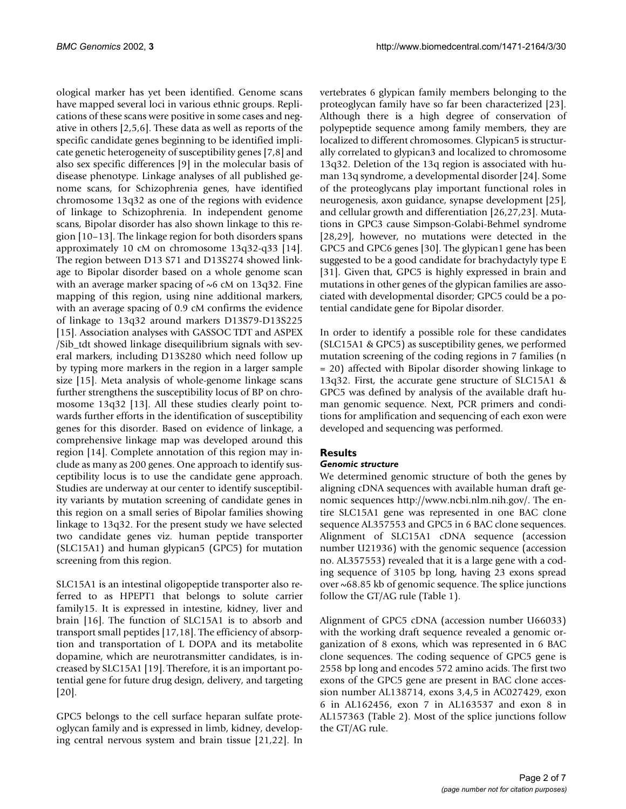ological marker has yet been identified. Genome scans have mapped several loci in various ethnic groups. Replications of these scans were positive in some cases and negative in others [2,5,6]. These data as well as reports of the specific candidate genes beginning to be identified implicate genetic heterogeneity of susceptibility genes [7,8] and also sex specific differences [9] in the molecular basis of disease phenotype. Linkage analyses of all published genome scans, for Schizophrenia genes, have identified chromosome 13q32 as one of the regions with evidence of linkage to Schizophrenia. In independent genome scans, Bipolar disorder has also shown linkage to this region [10–13]. The linkage region for both disorders spans approximately 10 cM on chromosome 13q32-q33 [14]. The region between D13 S71 and D13S274 showed linkage to Bipolar disorder based on a whole genome scan with an average marker spacing of ~6 cM on 13q32. Fine mapping of this region, using nine additional markers, with an average spacing of 0.9 cM confirms the evidence of linkage to 13q32 around markers D13S79-D13S225 [15]. Association analyses with GASSOC TDT and ASPEX /Sib\_tdt showed linkage disequilibrium signals with several markers, including D13S280 which need follow up by typing more markers in the region in a larger sample size [15]. Meta analysis of whole-genome linkage scans further strengthens the susceptibility locus of BP on chromosome 13q32 [13]. All these studies clearly point towards further efforts in the identification of susceptibility genes for this disorder. Based on evidence of linkage, a comprehensive linkage map was developed around this region [14]. Complete annotation of this region may include as many as 200 genes. One approach to identify susceptibility locus is to use the candidate gene approach. Studies are underway at our center to identify susceptibility variants by mutation screening of candidate genes in this region on a small series of Bipolar families showing linkage to 13q32. For the present study we have selected two candidate genes viz. human peptide transporter (SLC15A1) and human glypican5 (GPC5) for mutation screening from this region.

SLC15A1 is an intestinal oligopeptide transporter also referred to as HPEPT1 that belongs to solute carrier family15. It is expressed in intestine, kidney, liver and brain [16]. The function of SLC15A1 is to absorb and transport small peptides [17,18]. The efficiency of absorption and transportation of L DOPA and its metabolite dopamine, which are neurotransmitter candidates, is increased by SLC15A1 [19]. Therefore, it is an important potential gene for future drug design, delivery, and targeting [20].

GPC5 belongs to the cell surface heparan sulfate proteoglycan family and is expressed in limb, kidney, developing central nervous system and brain tissue [21,22]. In

vertebrates 6 glypican family members belonging to the proteoglycan family have so far been characterized [23]. Although there is a high degree of conservation of polypeptide sequence among family members, they are localized to different chromosomes. Glypican5 is structurally correlated to glypican3 and localized to chromosome 13q32. Deletion of the 13q region is associated with human 13q syndrome, a developmental disorder [24]. Some of the proteoglycans play important functional roles in neurogenesis, axon guidance, synapse development [25], and cellular growth and differentiation [26,27,23]. Mutations in GPC3 cause Simpson-Golabi-Behmel syndrome [28,29], however, no mutations were detected in the GPC5 and GPC6 genes [30]. The glypican1 gene has been suggested to be a good candidate for brachydactyly type E [31]. Given that, GPC5 is highly expressed in brain and mutations in other genes of the glypican families are associated with developmental disorder; GPC5 could be a potential candidate gene for Bipolar disorder.

In order to identify a possible role for these candidates (SLC15A1 & GPC5) as susceptibility genes, we performed mutation screening of the coding regions in 7 families (n = 20) affected with Bipolar disorder showing linkage to 13q32. First, the accurate gene structure of SLC15A1 & GPC5 was defined by analysis of the available draft human genomic sequence. Next, PCR primers and conditions for amplification and sequencing of each exon were developed and sequencing was performed.

# **Results**

# *Genomic structure*

[We determined genomic structure of both the genes by](http://www.ncbi.nlm.nih.gov/) aligning cDNA sequences with available human draft genomic sequences http://www.ncbi.nlm.nih.gov/. The entire SLC15A1 gene was represented in one BAC clone sequence AL357553 and GPC5 in 6 BAC clone sequences. Alignment of SLC15A1 cDNA sequence (accession number U21936) with the genomic sequence (accession no. AL357553) revealed that it is a large gene with a coding sequence of 3105 bp long, having 23 exons spread over ~68.85 kb of genomic sequence. The splice junctions follow the GT/AG rule (Table [1](#page-2-0)).

Alignment of GPC5 cDNA (accession number U66033) with the working draft sequence revealed a genomic organization of 8 exons, which was represented in 6 BAC clone sequences. The coding sequence of GPC5 gene is 2558 bp long and encodes 572 amino acids. The first two exons of the GPC5 gene are present in BAC clone accession number AL138714, exons 3,4,5 in AC027429, exon 6 in AL162456, exon 7 in AL163537 and exon 8 in AL157363 (Table 2). Most of the splice junctions follow the GT/AG rule.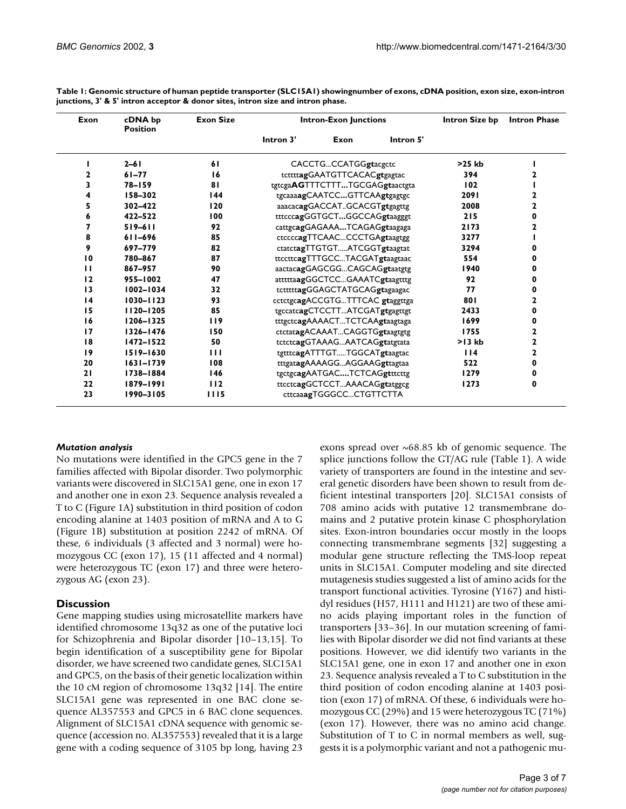| Exon            | cDNA bp<br><b>Position</b> | <b>Exon Size</b> | <b>Intron-Exon Junctions</b> |                                 |           | Intron Size bp | <b>Intron Phase</b> |
|-----------------|----------------------------|------------------|------------------------------|---------------------------------|-----------|----------------|---------------------|
|                 |                            |                  | Intron 3'                    | Exon                            | Intron 5' |                |                     |
|                 | $2 - 61$                   | 61               |                              | CACCTGCCATGGgtacgctc            |           | $>25$ kb       |                     |
| 2               | $61 - 77$                  | 16               |                              | tcttttagGAATGTTCACACgtgagtac    |           | 394            | 2                   |
| 3               | $78 - 159$                 | 81               |                              | tgtcgaAGTTTCTTTTGCGAGgtaactgta  |           | 102            |                     |
| 4               | 158-302                    | 144              |                              | tgcaaaagCAATCCGTTCAAgtgagtgc    |           | 2091           | 2                   |
| 5               | 302-422                    | 120              |                              | aaacacagGACCATGCACGTgtgagttg    |           | 2008           | 2                   |
| 6               | 422-522                    | 100              |                              | tttcccagGGTGCTGGCCAGgtaagggt    |           | 215            | 0                   |
| 7               | $519 - 611$                | 92               |                              | cattgcagGAGAAATCAGAGgtaagaga    |           | 2173           | 2                   |
| 8               | 611-696                    | 85               |                              | ctccccagTTCAACCCCTGAgtaagtgg    |           | 3277           |                     |
| 9               | 697-779                    | 82               |                              | ctatctagTTGTGTATCGGTgtaagtat    |           | 3294           | O                   |
| 10              | 780-867                    | 87               |                              | ttccttcagTTTGCCTACGATgtaagtaac  |           | 554            | 0                   |
| п               | 867-957                    | 90               |                              | aactacagGAGCGGCAGCAGgtaatgtg    |           | 1940           | 0                   |
| 12              | 955-1002                   | 47               |                              | atttttaagGGCTCCGAAATCgtaagtttg  |           | 92             | 0                   |
| 13              | 1002-1034                  | 32               |                              | tctttttagGGAGCTATGCAGgtagaagac  |           | 77             | 0                   |
| $\overline{14}$ | 1030-1123                  | 93               |                              | cctctgcagACCGTGTTTCAC gtaggttga |           | 801            | 2                   |
| 15              | 1120-1205                  | 85               |                              | tgccatcagCTCCTTATCGATgtgagttgt  |           | 2433           | 0                   |
| 16              | 1206-1325                  | 119              |                              | tttgctcagAAAACTTCTCAAgtaagtaga  |           | 1699           | 0                   |
| 17              | 1326-1476                  | 150              |                              | ctctatagACAAATCAGGTGgtaagtgtg   |           | 1755           | 2                   |
| 18              | 1472-1522                  | 50               |                              | tctctcagGTAAAGAATCAGgtatgtata   |           | $>13$ kb       | 2                   |
| 19              | $1519 - 1630$              | $\blacksquare$   |                              | tgtttcagATTTGTTGGCATgtaagtac    |           | 114            | $\mathbf 2$         |
| 20              | $1631 - 1739$              | 108              |                              | tttgatagAAAAGGAGGAAGgttagtaa    |           | 522            | $\mathbf 0$         |
| 21              | 1738-1884                  | 146              |                              | tgctgcagAATGACTCTCAGgtttcttg    |           | 1279           | 0                   |
| 22              | 1879-1991                  | 112              |                              | ttcctcagGCTCCTAAACAGgtatggcg    |           | 1273           | $\mathbf 0$         |
| 23              | 1990-3105                  | 1115             |                              | cttcaaagTGGGCCCTGTTCTTA         |           |                |                     |

<span id="page-2-0"></span>**Table 1: Genomic structure of human peptide transporter (SLC15A1) showingnumber of exons, cDNA position, exon size, exon-intron junctions, 3' & 5' intron acceptor & donor sites, intron size and intron phase.**

# *Mutation analysis*

No mutations were identified in the GPC5 gene in the 7 families affected with Bipolar disorder. Two polymorphic variants were discovered in SLC15A1 gene, one in exon 17 and another one in exon 23. Sequence analysis revealed a T to C (Figure 1A) substitution in third position of codon encoding alanine at 1403 position of mRNA and A to G (Figure 1B) substitution at position 2242 of mRNA. Of these, 6 individuals (3 affected and 3 normal) were homozygous CC (exon 17), 15 (11 affected and 4 normal) were heterozygous TC (exon 17) and three were heterozygous AG (exon 23).

# **Discussion**

Gene mapping studies using microsatellite markers have identified chromosome 13q32 as one of the putative loci for Schizophrenia and Bipolar disorder [10–13,15]. To begin identification of a susceptibility gene for Bipolar disorder, we have screened two candidate genes, SLC15A1 and GPC5, on the basis of their genetic localization within the 10 cM region of chromosome 13q32 [14]. The entire SLC15A1 gene was represented in one BAC clone sequence AL357553 and GPC5 in 6 BAC clone sequences. Alignment of SLC15A1 cDNA sequence with genomic sequence (accession no. AL357553) revealed that it is a large gene with a coding sequence of 3105 bp long, having 23

exons spread over  $\sim 68.85$  kb of genomic sequence. The splice junctions follow the GT/AG rule (Table [1](#page-2-0)). A wide variety of transporters are found in the intestine and several genetic disorders have been shown to result from deficient intestinal transporters [20]. SLC15A1 consists of 708 amino acids with putative 12 transmembrane domains and 2 putative protein kinase C phosphorylation sites. Exon-intron boundaries occur mostly in the loops connecting transmembrane segments [32] suggesting a modular gene structure reflecting the TMS-loop repeat units in SLC15A1. Computer modeling and site directed mutagenesis studies suggested a list of amino acids for the transport functional activities. Tyrosine (Y167) and histidyl residues (H57, H111 and H121) are two of these amino acids playing important roles in the function of transporters [33–36]. In our mutation screening of families with Bipolar disorder we did not find variants at these positions. However, we did identify two variants in the SLC15A1 gene, one in exon 17 and another one in exon 23. Sequence analysis revealed a T to C substitution in the third position of codon encoding alanine at 1403 position (exon 17) of mRNA. Of these, 6 individuals were homozygous CC (29%) and 15 were heterozygous TC (71%) (exon 17). However, there was no amino acid change. Substitution of T to C in normal members as well, suggests it is a polymorphic variant and not a pathogenic mu-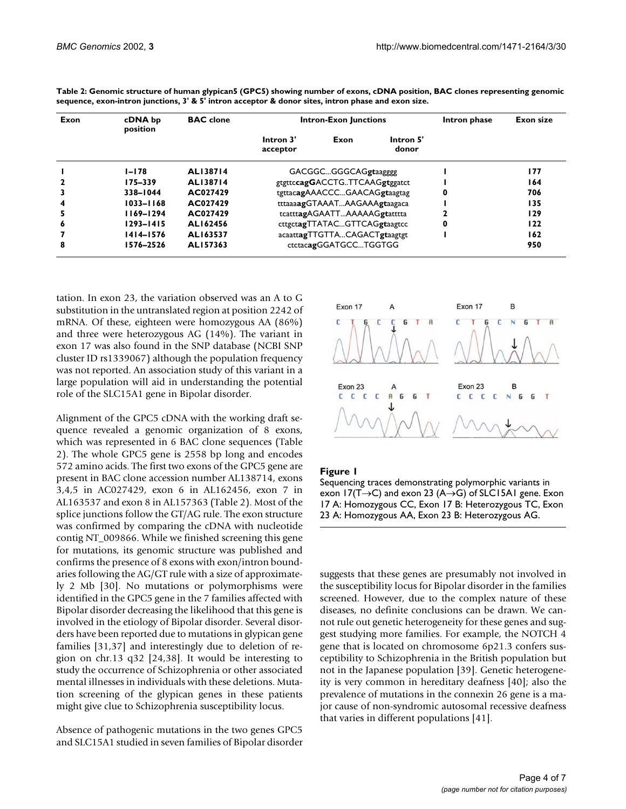| Exon                    | cDNA bp<br>position | <b>BAC</b> clone | <b>Intron-Exon Junctions</b>  |                              |                    | Intron phase | Exon size |
|-------------------------|---------------------|------------------|-------------------------------|------------------------------|--------------------|--------------|-----------|
|                         |                     |                  | Intron 3'<br>acceptor         | Exon                         | Intron 5'<br>donor |              |           |
|                         | I-I78               | AL138714         |                               | GACGGCGGGCAGgtaagggg         |                    |              | 177       |
| 2                       | 175-339             | AL138714         | gtgttccagGACCTGTTCAAGgtggatct |                              |                    |              | 164       |
| 3                       | 338-1044            | AC027429         |                               | tgttacagAAACCCGAACAGgtaagtag |                    | 0            | 706       |
| $\overline{\mathbf{4}}$ | $1033 - 1168$       | AC027429         |                               | tttaaaagGTAAATAAGAAAgtaagaca |                    |              | 135       |
| 5                       | 1169-1294           | AC027429         |                               | tcatttagAGAATTAAAAAGgtatttta |                    |              | 129       |
| 6                       | $1293 - 1415$       | AL162456         | cttgctagTTATACGTTCAGgtaagtcc  |                              |                    | 0            | 122       |
|                         | 1414–1576           | AL163537         |                               | acaattagTTGTTACAGACTgtaagtgt |                    |              | 162       |
| 8                       | 1576-2526           | AL157363         |                               | ctctacagGGATGCCTGGTGG        |                    |              | 950       |

**Table 2: Genomic structure of human glypican5 (GPC5) showing number of exons, cDNA position, BAC clones representing genomic sequence, exon-intron junctions, 3' & 5' intron acceptor & donor sites, intron phase and exon size.**

tation. In exon 23, the variation observed was an A to G substitution in the untranslated region at position 2242 of mRNA. Of these, eighteen were homozygous AA (86%) and three were heterozygous AG (14%). The variant in exon 17 was also found in the SNP database (NCBI SNP cluster ID rs1339067) although the population frequency was not reported. An association study of this variant in a large population will aid in understanding the potential role of the SLC15A1 gene in Bipolar disorder.

Alignment of the GPC5 cDNA with the working draft sequence revealed a genomic organization of 8 exons, which was represented in 6 BAC clone sequences (Table 2). The whole GPC5 gene is 2558 bp long and encodes 572 amino acids. The first two exons of the GPC5 gene are present in BAC clone accession number AL138714, exons 3,4,5 in AC027429, exon 6 in AL162456, exon 7 in AL163537 and exon 8 in AL157363 (Table 2). Most of the splice junctions follow the GT/AG rule. The exon structure was confirmed by comparing the cDNA with nucleotide contig NT\_009866. While we finished screening this gene for mutations, its genomic structure was published and confirms the presence of 8 exons with exon/intron boundaries following the AG/GT rule with a size of approximately 2 Mb [30]. No mutations or polymorphisms were identified in the GPC5 gene in the 7 families affected with Bipolar disorder decreasing the likelihood that this gene is involved in the etiology of Bipolar disorder. Several disorders have been reported due to mutations in glypican gene families [31,37] and interestingly due to deletion of region on chr.13 q32 [24,38]. It would be interesting to study the occurrence of Schizophrenia or other associated mental illnesses in individuals with these deletions. Mutation screening of the glypican genes in these patients might give clue to Schizophrenia susceptibility locus.

Absence of pathogenic mutations in the two genes GPC5 and SLC15A1 studied in seven families of Bipolar disorder



# **Figure 1**

Sequencing traces demonstrating polymorphic variants in exon 17(T $\rightarrow$ C) and exon 23 (A $\rightarrow$ G) of SLC15A1 gene. Exon 17 A: Homozygous CC, Exon 17 B: Heterozygous TC, Exon 23 A: Homozygous AA, Exon 23 B: Heterozygous AG.

suggests that these genes are presumably not involved in the susceptibility locus for Bipolar disorder in the families screened. However, due to the complex nature of these diseases, no definite conclusions can be drawn. We cannot rule out genetic heterogeneity for these genes and suggest studying more families. For example, the NOTCH 4 gene that is located on chromosome 6p21.3 confers susceptibility to Schizophrenia in the British population but not in the Japanese population [39]. Genetic heterogeneity is very common in hereditary deafness [40]; also the prevalence of mutations in the connexin 26 gene is a major cause of non-syndromic autosomal recessive deafness that varies in different populations [41].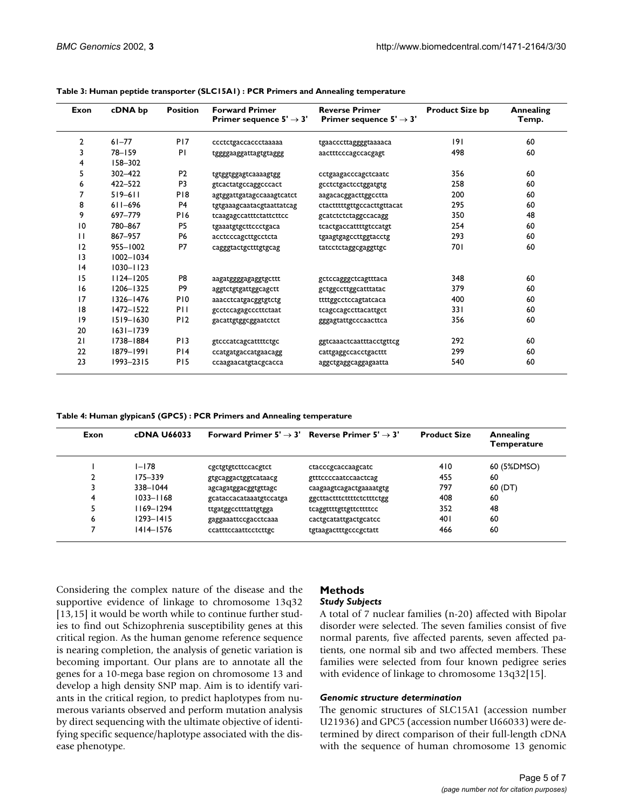| Exon | cDNA bp       | <b>Position</b> | <b>Forward Primer</b><br>Primer sequence $5' \rightarrow 3'$ | <b>Reverse Primer</b><br>Primer sequence $5' \rightarrow 3'$ | <b>Product Size bp</b> | <b>Annealing</b><br>Temp. |
|------|---------------|-----------------|--------------------------------------------------------------|--------------------------------------------------------------|------------------------|---------------------------|
| 2    | $61 - 77$     | P <sub>17</sub> | ccctctgaccaccctaaaaa                                         | tgaacccttaggggtaaaaca                                        | 191                    | 60                        |
| 3    | $78 - 159$    | ΡI              | tggggaaggattagtgtaggg                                        | aactttcccagccacgagt                                          | 498                    | 60                        |
| 4    | 158-302       |                 |                                                              |                                                              |                        |                           |
| 5    | $302 - 422$   | P <sub>2</sub>  | tgtggtggagtcaaaagtgg                                         | cctgaagacccagctcaatc                                         | 356                    | 60                        |
| 6    | 422-522       | P <sub>3</sub>  | gtcactatgccaggcccact                                         | gcctctgactcctggatgtg                                         | 258                    | 60                        |
| 7    | $519 - 611$   | P <sub>18</sub> | agtggattgatagccaaagtcatct                                    | aagacacggacttggcctta                                         | 200                    | 60                        |
| 8    | $611 - 696$   | P <sub>4</sub>  | tgtgaaagcaatacgtaattatcag                                    | ctactttttgttgccacttgttacat                                   | 295                    | 60                        |
| 9    | 697-779       | P <sub>16</sub> | tcaagagccatttctattcttcc                                      | gcatctctctaggccacagg                                         | 350                    | 48                        |
| 10   | 780-867       | P <sub>5</sub>  | tgaaatgtgcttccctgaca                                         | tcactgaccattttgtccatgt                                       | 254                    | 60                        |
| П    | 867-957       | <b>P6</b>       | acctcccagcttgcctcta                                          | tgaagtgagccttggtacctg                                        | 293                    | 60                        |
| 12   | 955-1002      | P7              | cagggtactgctttgtgcag                                         | tatcctctaggcgaggttgc                                         | 70 I                   | 60                        |
| 3    | $1002 - 1034$ |                 |                                                              |                                                              |                        |                           |
| 4    | $1030 - 1123$ |                 |                                                              |                                                              |                        |                           |
| 15   | $1124 - 1205$ | P8              | aagatggggagaggtgcttt                                         | gctccagggctcagtttaca                                         | 348                    | 60                        |
| 16   | $1206 - 1325$ | P <sub>9</sub>  | aggtctgtgattggcagctt                                         | gctggccttggcatttatac                                         | 379                    | 60                        |
| 17   | $1326 - 1476$ | P <sub>10</sub> | aaacctcatgacggtgtctg                                         | ttttggcctccagtatcaca                                         | 400                    | 60                        |
| 18   | $1472 - 1522$ | PH              | gcctccagagcccttctaat                                         | tcagccagccttacattgct                                         | 331                    | 60                        |
| 9    | $1519 - 1630$ | P <sub>12</sub> | gacattgtggcggaatctct                                         | gggagtattgcccaacttca                                         | 356                    | 60                        |
| 20   | $1631 - 1739$ |                 |                                                              |                                                              |                        |                           |
| 21   | 1738-1884     | P <sub>13</sub> | gtcccatcagcattttctgc                                         | ggtcaaactcaatttacctgttcg                                     | 292                    | 60                        |
| 22   | 1879-1991     | PI4             | ccatgatgaccatgaacagg                                         | cattgaggccacctgacttt                                         | 299                    | 60                        |
| 23   | $1993 - 2315$ | P <sub>15</sub> | ccaagaacatgtacgcacca                                         | aggctgaggcaggagaatta                                         | 540                    | 60                        |

#### <span id="page-4-0"></span>**Table 3: Human peptide transporter (SLC15A1) : PCR Primers and Annealing temperature**

<span id="page-4-1"></span>**Table 4: Human glypican5 (GPC5) : PCR Primers and Annealing temperature**

| Exon | cDNA U66033   |                         | Forward Primer $5' \rightarrow 3'$ Reverse Primer $5' \rightarrow 3'$ | <b>Product Size</b> | Annealing<br>Temperature |
|------|---------------|-------------------------|-----------------------------------------------------------------------|---------------------|--------------------------|
|      | $I - I$ 78    | cgctgtgtcttccacgtct     | ctacccgcaccaagcatc                                                    | 410                 | 60 (5%DMSO)              |
|      | $175 - 339$   | gtgcaggactggtcataacg    | gtttccccaatccaactcag                                                  | 455                 | 60                       |
|      | 338-1044      | agcagatggacggtgttagc    | caagaagtcagactgaaaatgtg                                               | 797                 | 60 (DT)                  |
| 4    | $1033 - 1168$ | gcataccacataaatgtccatga | ggcttactttcttttctctttctgg                                             | 408                 | 60                       |
|      | $1169 - 1294$ | ttgatggcctttattgtgga    | tcaggttttgttgttcttttcc                                                | 352                 | 48                       |
| 6    | $1293 - 1415$ | gaggaaattccgacctcaaa    | cactgcatattgactgcatcc                                                 | 401                 | 60                       |
|      | $1414 - 1576$ | ccatttccaattcctcttgc    | tgtaagactttgcccgctatt                                                 | 466                 | 60                       |

Considering the complex nature of the disease and the supportive evidence of linkage to chromosome 13q32 [13,15] it would be worth while to continue further studies to find out Schizophrenia susceptibility genes at this critical region. As the human genome reference sequence is nearing completion, the analysis of genetic variation is becoming important. Our plans are to annotate all the genes for a 10-mega base region on chromosome 13 and develop a high density SNP map. Aim is to identify variants in the critical region, to predict haplotypes from numerous variants observed and perform mutation analysis by direct sequencing with the ultimate objective of identifying specific sequence/haplotype associated with the disease phenotype.

# **Methods**

# *Study Subjects*

A total of 7 nuclear families (n-20) affected with Bipolar disorder were selected. The seven families consist of five normal parents, five affected parents, seven affected patients, one normal sib and two affected members. These families were selected from four known pedigree series with evidence of linkage to chromosome 13q32[15].

# *Genomic structure determination*

[The genomic structures of SLC15A1 \(accession number](http://www.ncbi.nlm.nih.gov/) U21936) and GPC5 (accession number U66033) were determined by direct comparison of their full-length cDNA [with the sequence of human chromosome 13 genomic](http://www.ncbi.nlm.nih.gov/)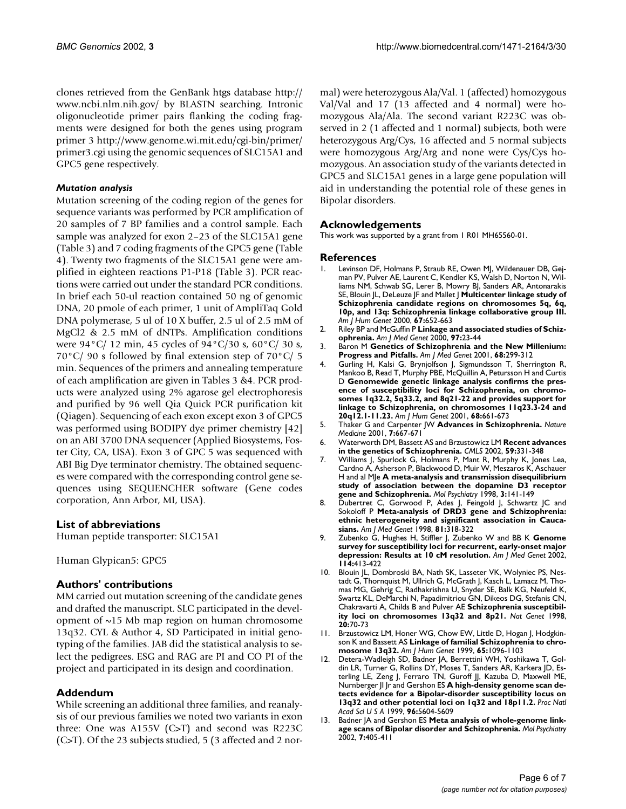[clones retrieved from the GenBank htgs database http://](http://www.ncbi.nlm.nih.gov/) www.ncbi.nlm.nih.gov/ by BLASTN searching. Intronic oligonucleotide primer pairs flanking the coding fragments were designed for both the genes using program [primer 3](http://www.ncbi.nlm.nih.gov/) [http://www.genome.wi.mit.edu/cgi-bin/primer/](http://www.genome.wi.mit.edu/cgi-bin/primer/primer3.cgi) [primer3.cgi using the genomic sequences of SLC15A1 and](http://www.genome.wi.mit.edu/cgi-bin/primer/primer3.cgi) GPC5 gene respectively.

# *Mutation analysis*

Mutation screening of the coding region of the genes for sequence variants was performed by PCR amplification of 20 samples of 7 BP families and a control sample. Each sample was analyzed for exon 2–23 of the SLC15A1 gene (Table [3](#page-4-0)) and 7 coding fragments of the GPC5 gene (Table [4\)](#page-4-1). Twenty two fragments of the SLC15A1 gene were amplified in eighteen reactions P1-P18 (Table [3\)](#page-4-0). PCR reactions were carried out under the standard PCR conditions. In brief each 50-ul reaction contained 50 ng of genomic DNA, 20 pmole of each primer, 1 unit of AmpliTaq Gold DNA polymerase, 5 ul of 10 X buffer, 2.5 ul of 2.5 mM of MgCl2 & 2.5 mM of dNTPs. Amplification conditions were 94°C/ 12 min, 45 cycles of 94°C/30 s, 60°C/ 30 s, 70°C/ 90 s followed by final extension step of 70°C/ 5 min. Sequences of the primers and annealing temperature of each amplification are given in Tables [3](#page-4-0) &[4](#page-4-1). PCR products were analyzed using 2% agarose gel electrophoresis and purified by 96 well Qia Quick PCR purification kit (Qiagen). Sequencing of each exon except exon 3 of GPC5 was performed using BODIPY dye primer chemistry [42] on an ABI 3700 DNA sequencer (Applied Biosystems, Foster City, CA, USA). Exon 3 of GPC 5 was sequenced with ABI Big Dye terminator chemistry. The obtained sequences were compared with the corresponding control gene sequences using SEQUENCHER software (Gene codes corporation, Ann Arbor, MI, USA).

# **List of abbreviations**

Human peptide transporter: SLC15A1

Human Glypican5: GPC5

# **Authors' contributions**

MM carried out mutation screening of the candidate genes and drafted the manuscript. SLC participated in the development of  $\sim$ 15 Mb map region on human chromosome 13q32. CYL & Author 4, SD Participated in initial genotyping of the families. JAB did the statistical analysis to select the pedigrees. ESG and RAG are PI and CO PI of the project and participated in its design and coordination.

# **Addendum**

While screening an additional three families, and reanalysis of our previous families we noted two variants in exon three: One was A155V (C>T) and second was R223C (C>T). Of the 23 subjects studied, 5 (3 affected and 2 normal) were heterozygous Ala/Val. 1 (affected) homozygous Val/Val and 17 (13 affected and 4 normal) were homozygous Ala/Ala. The second variant R223C was observed in 2 (1 affected and 1 normal) subjects, both were heterozygous Arg/Cys, 16 affected and 5 normal subjects were homozygous Arg/Arg and none were Cys/Cys homozygous. An association study of the variants detected in GPC5 and SLC15A1 genes in a large gene population will aid in understanding the potential role of these genes in Bipolar disorders.

# **Acknowledgements**

This work was supported by a grant from 1 R01 MH65560-01.

### **References**

- Levinson DF, Holmans P, Straub RE, Owen MJ, Wildenauer DB, Gejman PV, Pulver AE, Laurent C, Kendler KS, Walsh D, Norton N, Williams NM, Schwab SG, Lerer B, Mowry BJ, Sanders AR, Antonarakis SE, Blouin JL, DeLeuze JF and Mallet J **[Multicenter linkage study of](http://www.ncbi.nlm.nih.gov/entrez/query.fcgi?cmd=Retrieve&db=PubMed&dopt=Abstract&list_uids=10.1086/303041) Schizophrenia candidate regions on chromosomes 5q, 6q, [10p, and 13q: Schizophrenia linkage collaborative group III.](http://www.ncbi.nlm.nih.gov/entrez/query.fcgi?cmd=Retrieve&db=PubMed&dopt=Abstract&list_uids=10.1086/303041)** *Am J Hum Genet* 2000, **67:**652-663
- 2. Riley BP and McGuffin P **[Linkage and associated studies of Schiz](http://www.ncbi.nlm.nih.gov/entrez/query.fcgi?cmd=Retrieve&db=PubMed&dopt=Abstract&list_uids=10.1002/(SICI)1096-8628(200021)97:1<23::AID-AJMG5>3.0.CO;2-K)[ophrenia.](http://www.ncbi.nlm.nih.gov/entrez/query.fcgi?cmd=Retrieve&db=PubMed&dopt=Abstract&list_uids=10.1002/(SICI)1096-8628(200021)97:1<23::AID-AJMG5>3.0.CO;2-K)** *Am J Med Genet* 2000, **97:**23-44
- 3. Baron M **[Genetics of Schizophrenia and the New Millenium:](http://www.ncbi.nlm.nih.gov/entrez/query.fcgi?cmd=Retrieve&db=PubMed&dopt=Abstract&list_uids=10.1086/318212) [Progress and Pitfalls.](http://www.ncbi.nlm.nih.gov/entrez/query.fcgi?cmd=Retrieve&db=PubMed&dopt=Abstract&list_uids=10.1086/318212)** *Am J Med Genet* 2001, **68:**299-312
- 4. Gurling H, Kalsi G, Brynjolfson J, Sigmundsson T, Sherrington R, Mankoo B, Read T, Murphy PBE, McQuillin A, Petursson H and Curtis D **[Genomewide genetic linkage analysis confirms the pres](http://www.ncbi.nlm.nih.gov/entrez/query.fcgi?cmd=Retrieve&db=PubMed&dopt=Abstract&list_uids=10.1086/318788)ence of susceptibility loci for Schizophrenia, on chromosomes 1q32.2, 5q33.2, and 8q21-22 and provides support for [linkage to Schizophrenia, on chromosomes 11q23.3-24 and](http://www.ncbi.nlm.nih.gov/entrez/query.fcgi?cmd=Retrieve&db=PubMed&dopt=Abstract&list_uids=10.1086/318788) [20q12.1-11.23.](http://www.ncbi.nlm.nih.gov/entrez/query.fcgi?cmd=Retrieve&db=PubMed&dopt=Abstract&list_uids=10.1086/318788)** *Am J Hum Genet* 2001, **68:**661-673
- 5. Thaker G and Carpenter JW **[Advances in Schizophrenia.](http://www.ncbi.nlm.nih.gov/entrez/query.fcgi?cmd=Retrieve&db=PubMed&dopt=Abstract&list_uids=10.1038/89040)** *Nature Medicine* 2001, **7:**667-671
- 6. Waterworth DM, Bassett AS and Brzustowicz LM **[Recent advances](http://www.ncbi.nlm.nih.gov/entrez/query.fcgi?cmd=Retrieve&db=PubMed&dopt=Abstract&list_uids=11915947) [in the genetics of Schizophrenia.](http://www.ncbi.nlm.nih.gov/entrez/query.fcgi?cmd=Retrieve&db=PubMed&dopt=Abstract&list_uids=11915947)** *CMLS* 2002, **59:**331-348
- 7. Williams J, Spurlock G, Holmans P, Mant R, Murphy K, Jones Lea, Cardno A, Asherson P, Blackwood D, Muir W, Meszaros K, Aschauer H and al MJe **[A meta-analysis and transmission disequilibrium](http://www.ncbi.nlm.nih.gov/entrez/query.fcgi?cmd=Retrieve&db=PubMed&dopt=Abstract&list_uids=10.1038/sj.mp.4000376) [study of association between the dopamine D3 receptor](http://www.ncbi.nlm.nih.gov/entrez/query.fcgi?cmd=Retrieve&db=PubMed&dopt=Abstract&list_uids=10.1038/sj.mp.4000376) [gene and Schizophrenia.](http://www.ncbi.nlm.nih.gov/entrez/query.fcgi?cmd=Retrieve&db=PubMed&dopt=Abstract&list_uids=10.1038/sj.mp.4000376)** *Mol Psychiatry* 1998, **3:**141-149
- 8. Dubertret C, Gorwood P, Ades J, Feingold J, Schwartz JC and Sokoloff P **[Meta-analysis of DRD3 gene and Schizophrenia:](http://www.ncbi.nlm.nih.gov/entrez/query.fcgi?cmd=Retrieve&db=PubMed&dopt=Abstract&list_uids=10.1002/(SICI)1096-8628(19980710)81:4<318::AID-AJMG8>3.0.CO;2-P) [ethnic heterogeneity and significant association in Cauca](http://www.ncbi.nlm.nih.gov/entrez/query.fcgi?cmd=Retrieve&db=PubMed&dopt=Abstract&list_uids=10.1002/(SICI)1096-8628(19980710)81:4<318::AID-AJMG8>3.0.CO;2-P)[sians.](http://www.ncbi.nlm.nih.gov/entrez/query.fcgi?cmd=Retrieve&db=PubMed&dopt=Abstract&list_uids=10.1002/(SICI)1096-8628(19980710)81:4<318::AID-AJMG8>3.0.CO;2-P)** *Am J Med Genet* 1998, **81:**318-322
- 9. Zubenko G, Hughes H, Stiffler J, Zubenko W and BB K **[Genome](http://www.ncbi.nlm.nih.gov/entrez/query.fcgi?cmd=Retrieve&db=PubMed&dopt=Abstract&list_uids=10.1002/ajmg.10381) [survey for susceptibility loci for recurrent, early-onset major](http://www.ncbi.nlm.nih.gov/entrez/query.fcgi?cmd=Retrieve&db=PubMed&dopt=Abstract&list_uids=10.1002/ajmg.10381) [depression: Results at 10 cM resolution.](http://www.ncbi.nlm.nih.gov/entrez/query.fcgi?cmd=Retrieve&db=PubMed&dopt=Abstract&list_uids=10.1002/ajmg.10381)** *Am J Med Genet* 2002, **114:**413-422
- 10. Blouin JL, Dombroski BA, Nath SK, Lasseter VK, Wolyniec PS, Nestadt G, Thornquist M, Ullrich G, McGrath J, Kasch L, Lamacz M, Thomas MG, Gehrig C, Radhakrishna U, Snyder SE, Balk KG, Neufeld K, Swartz KL, DeMarchi N, Papadimitriou GN, Dikeos DG, Stefanis CN, Chakravarti A, Childs B and Pulver AE **[Schizophrenia susceptibil](http://www.ncbi.nlm.nih.gov/entrez/query.fcgi?cmd=Retrieve&db=PubMed&dopt=Abstract&list_uids=10.1038/1734)[ity loci on chromosomes 13q32 and 8p21.](http://www.ncbi.nlm.nih.gov/entrez/query.fcgi?cmd=Retrieve&db=PubMed&dopt=Abstract&list_uids=10.1038/1734)** *Nat Genet* 1998, **20:**70-73
- 11. Brzustowicz LM, Honer WG, Chow EW, Little D, Hogan J, Hodgkinson K and Bassett AS **[Linkage of familial Schizophrenia to chro](http://www.ncbi.nlm.nih.gov/entrez/query.fcgi?cmd=Retrieve&db=PubMed&dopt=Abstract&list_uids=10.1086/302579)[mosome 13q32.](http://www.ncbi.nlm.nih.gov/entrez/query.fcgi?cmd=Retrieve&db=PubMed&dopt=Abstract&list_uids=10.1086/302579)** *Am J Hum Genet* 1999, **65:**1096-1103
- 12. Detera-Wadleigh SD, Badner JA, Berrettini WH, Yoshikawa T, Goldin LR, Turner G, Rollins DY, Moses T, Sanders AR, Karkera JD, Esterling LE, Zeng J, Ferraro TN, Guroff JJ, Kazuba D, Maxwell ME, Nurnberger JI Jr and Gershon ES **[A high-density genome scan de](http://www.ncbi.nlm.nih.gov/entrez/query.fcgi?cmd=Retrieve&db=PubMed&dopt=Abstract&list_uids=21907)[tects evidence for a Bipolar-disorder susceptibility locus on](http://www.ncbi.nlm.nih.gov/entrez/query.fcgi?cmd=Retrieve&db=PubMed&dopt=Abstract&list_uids=21907) [13q32 and other potential loci on 1q32 and 18p11.2.](http://www.ncbi.nlm.nih.gov/entrez/query.fcgi?cmd=Retrieve&db=PubMed&dopt=Abstract&list_uids=21907)** *Proc Natl Acad Sci U S A* 1999, **96:**5604-5609
- 13. Badner JA and Gershon ES **[Meta analysis of whole-genome link](http://www.ncbi.nlm.nih.gov/entrez/query.fcgi?cmd=Retrieve&db=PubMed&dopt=Abstract&list_uids=10.1038/sj.mp.4001012)[age scans of Bipolar disorder and Schizophrenia.](http://www.ncbi.nlm.nih.gov/entrez/query.fcgi?cmd=Retrieve&db=PubMed&dopt=Abstract&list_uids=10.1038/sj.mp.4001012)** *Mol Psychiatry* 2002, **7:**405-411